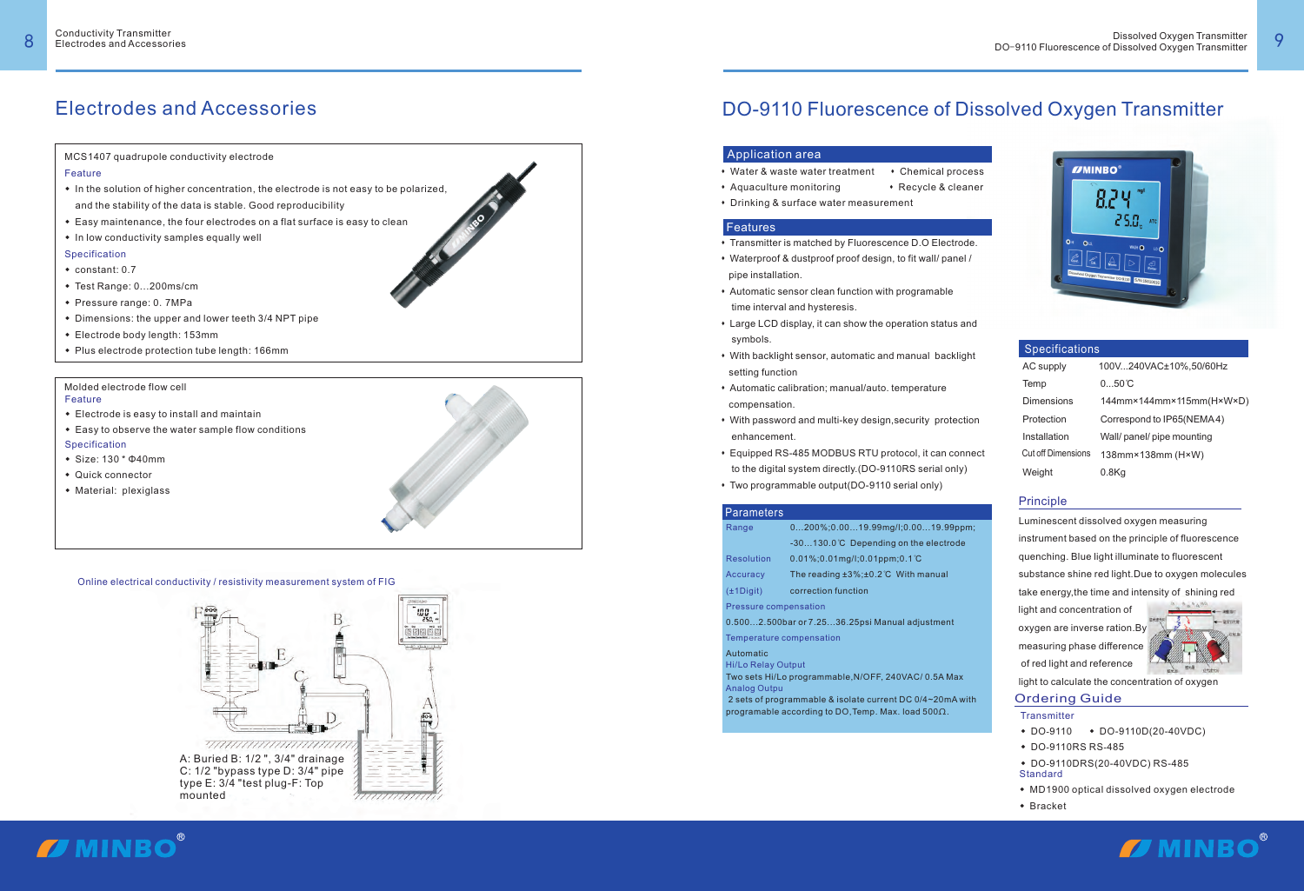#### Online electrical conductivity / resistivity measurement system of FIG

### Electrodes and Accessories

MCS1407 quadrupole conductivity electrode

#### Feature

- In the solution of higher concentration, the electrode is not easy to be polarized,<br>and the stability of the data is stable. Good reproducibility<br>• Easy maintenance, the four electrodes on a flat surface is easy to clean
- 
- In low conductivity samples equally well

- 
- constant: 0.7<br>● Test Range: 0...200ms/cm
- ◆ Test Range: 0…200ms/cm<br>◆ Pressure range: 0. 7MPa
- Pressure range:<br>• Dimensions: the ◆ Dimensions: the upper and lower teeth 3/4 NPT pipe<br>◆ Electrode body length: 153mm
- 
- ◆ Electrode body length: 153mm<br>◆ Plus electrode protection tube length: 166mm

- Feature
- $\bullet$  Electrode is easy to install and maintain
- Easy to observe the water sample flow conditions Specification
- wSize: 130 \* Φ40mm
- Quick connector
- ◆ Quick connector<br>◆ Material: plexiglass

- **Transmitter**
- DO-9110D(20-40VDC)
- w<sup>9110</sup> -
- ◆ DO-9110RS RS-485<br>◆ DO-9110DRS(20-40VDC) RS-485
- Standard<br>◆ MD190 • MD1900 optical dissolved oxygen electrode<br>• Bracket
- Bracket







#### Application area

- 
- 
- 
- 

#### **Features**

- \* Transmitter is matched by Fluorescence D.O Electrode.
- \* Waterproof & dustproof proof design, to fit wall/ panel / pipe installation.
- \* Automatic sensor clean function with programable time interval and hysteresis.
- Large LCD display, it can show the operation status and symbols.
- With backlight sensor, automatic and manual backlight setting function
- \* Automatic calibration; manual/auto. temperature compensation.
- With password and multi-key design, security protection enhancement.
- Equipped RS-485 MODBUS RTU protocol, it can connect to the digital system directly.(DO-9110RS serial only) • Water & waste water treatment • Chemical process<br>• Aquaculture monitoring • Recycle & cleaner<br>• Drinking & surface water measurement<br>• Transmitter is matched by Fluorescence D.O Electrode.<br>• Waterproof & dustproof proof
- 

#### **Parameters**

 2 sets of programmable & isolate current DC 0/4~20mA with programable according to DO,Temp. Max. load 500 $\Omega.$ 



#### Ordering Guide

## DO-9110 Fluorescence of Dissolved Oxygen Transmitter

#### Principle

Luminescent dissolved oxygen measuring instrument based on the principle of fluorescence quenching. Blue light illuminate to fluorescent substance shine red light.Due to oxygen molecules take energy,the time and intensity of shining red light and concentration of oxygen are inverse ration. By measuring phase difference

of red light and reference

light to calculate the concentration of oxygen



| <b>Specifications</b>     |                             |  |  |
|---------------------------|-----------------------------|--|--|
| AC supply                 | 100V240VAC±10%,50/60Hz      |  |  |
| Temp                      | $050$ $\mathbb{C}$          |  |  |
| Dimensions                | $144$ mm×144mm×115mm(H×W×D) |  |  |
| Protection                | Correspond to IP65(NEMA4)   |  |  |
| Installation              | Wall/ panel/ pipe mounting  |  |  |
| <b>Cut off Dimensions</b> | $138$ mm×138mm (H×W)        |  |  |
| Weight                    | $0.8$ Kg                    |  |  |

| Range                                  | $0200\%;0.0019.99$ mg/l;0.0019.99ppm;                                     |  |  |
|----------------------------------------|---------------------------------------------------------------------------|--|--|
|                                        | $-30130.0$ $C$ Depending on the electrode                                 |  |  |
| <b>Resolution</b>                      | $0.01\%$ ; 0.01 mg/l; 0.01 ppm; 0.1 °C                                    |  |  |
| Accuracy                               | The reading $\pm 3\%$ ; $\pm 0.2^{\circ}$ C With manual                   |  |  |
| $(\pm 1$ Digit)<br>correction function |                                                                           |  |  |
| <b>Pressure compensation</b>           |                                                                           |  |  |
|                                        | 0.5002.500bar or 7.2536.25psi Manual adjustment                           |  |  |
| Temperature compensation               |                                                                           |  |  |
| Automatic<br><b>Hi/Lo Relay Output</b> |                                                                           |  |  |
| <b>Analog Outpu</b>                    | Two sets Hi/Lo programmable, N/OFF, 240VAC/0.5A Max                       |  |  |
|                                        | 2 sots of programmable $\ell$ isolate current $DCD/4 \approx 20$ m A with |  |  |

#### Molded electrode flow cell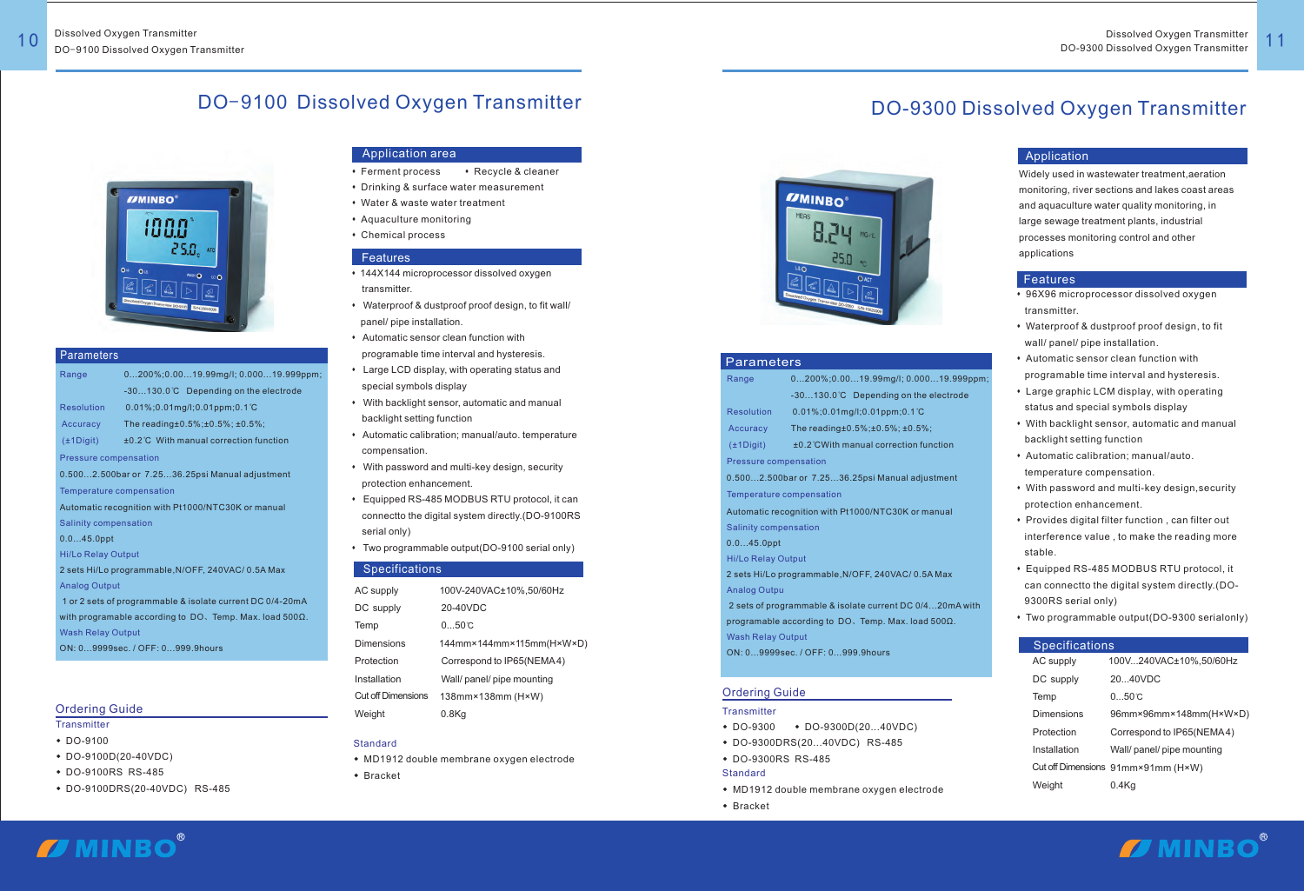#### Application area

- Ferment process Recycle & cleaner
- $\bullet$  Drinking & surface water measurement
- Water & waste water treatment
- Aquaculture monitoring
- Chemical process

### **Features**

- 144X144 microprocessor dissolved oxygen transmitter.
- \* Waterproof & dustproof proof design, to fit wall/ panel/ pipe installation.
- **\*** Automatic sensor clean function with programable time interval and hysteresis.
- \* Large LCD display, with operating status and special symbols display
- $*$  With backlight sensor, automatic and manual backlight setting function
- Automatic calibration; manual/auto. temperature compensation.
- With password and multi-key design, security protection enhancement.
- Equipped RS-485 MODBUS RTU protocol, it can connectto the digital system directly.(DO-9100RS serial only)
- $\bullet$  Two programmable output(DO-9100 serial only)

### **Specifications**

#### Ordering Guide

- **Transmitter**
- 
- ◆ DO-9100<br>◆ DO-9100D(20-40VDC)
- + DO-9100RS RS-485
- ◆ DO-9100RS RS-485<br>◆ DO-9100DRS(20-40VDC) RS-485
- MD1912 double membrane oxygen electrode
- Bracket



### DO-9100 Dissolved Oxygen Transmitter

**Accuracy** 0.5%;±0.5%; ̊C The reading± ±0.5%;

Pressure compensation

Temperature compensation

Range Resolution 0...200%;0.00...19.99mg/l; 0.000...19.999ppm; -30...130.0 ̊C Depending on the electrode 0.01%;0.01mg/l;0.01ppm;0.1

0.500...2.500bar or 7.25...36.25psi Manual adjustment

Wash Relay Output 1 or 2 sets of programmable & isolate current DC 0/4-20mA with programable according to DO、Temp. Max. load 500Ω.

Automatic recognition with Pt1000/NTC30K or manual

±0.2 ̊C With manual correction function ( ) ±1Digit

- Salinity compensation
- 0.0...45.0ppt
- Hi/Lo Relay Output
- Analog Output 2 sets Hi/Lo programmable,N/OFF, 240VAC/ 0.5A Max

ON: 0...9999sec. / OFF: 0...999.9hours

#### Application

#### Features

#### Ordering Guide

#### **Transmitter**

- $\bullet$  DO-9300  $\bullet$  DO-9300D(20...40VDC)
- ◆ DO-9300 → DO-9300D(20...40VDC)<br>◆ DO-9300DRS(20...40VDC) RS-485<br>◆ DO-9300RS RS-485 DO-9300DRS(20...40VDC) RS-485
- 
- **Standard**
- MD1912 double membrane oxygen electrode
- $\bullet$  Bracket

ī

# **I** MINBO®

| <b>Specifications</b> |                                    |  |  |
|-----------------------|------------------------------------|--|--|
| AC supply             | 100V240VAC±10%,50/60Hz             |  |  |
| DC supply             | 20.40VDC                           |  |  |
| Temp                  | 0.50c                              |  |  |
| Dimensions            | 96mm×96mm×148mm(H×W×D)             |  |  |
| Protection            | Correspond to IP65(NEMA4)          |  |  |
| Installation          | Wall/ panel/ pipe mounting         |  |  |
|                       | Cut off Dimensions 91mm×91mm (H×W) |  |  |
| Weight                | 0.4Ka                              |  |  |
|                       |                                    |  |  |

## DO-9300 Dissolved Oxygen Transmitter



#### **Parameters**





#### Parameters

| Range                                                    | $0200\%;0.0019.99$ mg/l; $0.00019.999$ ppr            |  |  |  |  |
|----------------------------------------------------------|-------------------------------------------------------|--|--|--|--|
|                                                          | -30130.0°C Depending on the electrode                 |  |  |  |  |
| Resolution                                               | $0.01\%$ ; 0.01 mg/l; 0.01 ppm; 0.1 °C                |  |  |  |  |
| Accuracy                                                 | The reading $\pm 0.5\%$ ; $\pm 0.5\%$ ; $\pm 0.5\%$ ; |  |  |  |  |
| $(\pm 1$ Digit)                                          | ±0.2 °CWith manual correction function                |  |  |  |  |
| Pressure compensation                                    |                                                       |  |  |  |  |
| 0.5002.500bar or 7.2536.25psi Manual adjustment          |                                                       |  |  |  |  |
| Temperature compensation                                 |                                                       |  |  |  |  |
| Automatic recognition with Pt1000/NTC30K or manual       |                                                       |  |  |  |  |
| <b>Salinity compensation</b>                             |                                                       |  |  |  |  |
| $0.045.0$ ppt                                            |                                                       |  |  |  |  |
| <b>Hi/Lo Relay Output</b>                                |                                                       |  |  |  |  |
| 2 sets Hi/Lo programmable, N/OFF, 240VAC/0.5A Max        |                                                       |  |  |  |  |
| <b>Analog Outpu</b>                                      |                                                       |  |  |  |  |
| 2 sets of programmable & isolate current DC 0/420mA with |                                                       |  |  |  |  |
| programable according to DO. Temp. Max. load 5000.       |                                                       |  |  |  |  |
| <b>Wash Relay Output</b>                                 |                                                       |  |  |  |  |
| ON: 09999sec. / OFF: 0999.9hours                         |                                                       |  |  |  |  |

- 96X96 microprocessor dissolved oxygen transmitter.
- Waterproof & dustproof proof design, to fit wall/ panel/ pipe installation.
- \* Automatic sensor clean function with programable time interval and hysteresis.
- \* Large graphic LCM display, with operating status and special symbols display
- With backlight sensor, automatic and manual backlight setting function
- \* Automatic calibration; manual/auto. temperature compensation.
- With password and multi-key design, security protection enhancement.
- Provides digital filter function, can filter out interference value , to make the reading more stable.
- \* Equipped RS-485 MODBUS RTU protocol, it can connectto the digital system directly.(DO- 9300RS serial only)
- 

o.<br>001

• Two programmable output(DO-9300 serialonly)

| AC supply                 | 100V-240VAC±10%,50/60Hz     |
|---------------------------|-----------------------------|
| DC supply                 | 20-40VDC                    |
| Temp                      | $050$ C                     |
| Dimensions                | $144$ mm×144mm×115mm(H×W×D) |
| Protection                | Correspond to IP65(NEMA4)   |
| Installation              | Wall/ panel/ pipe mounting  |
| <b>Cut off Dimensions</b> | 138mm×138mm (H×W)           |
| Weight                    | 0.8Ka                       |

#### Standard

 monitoring, river sections and lakes coast areas Widely used in wastewater treatment,aeration and aquaculture water quality monitoring, in large sewage treatment plants, industrial processes monitoring control and other applications